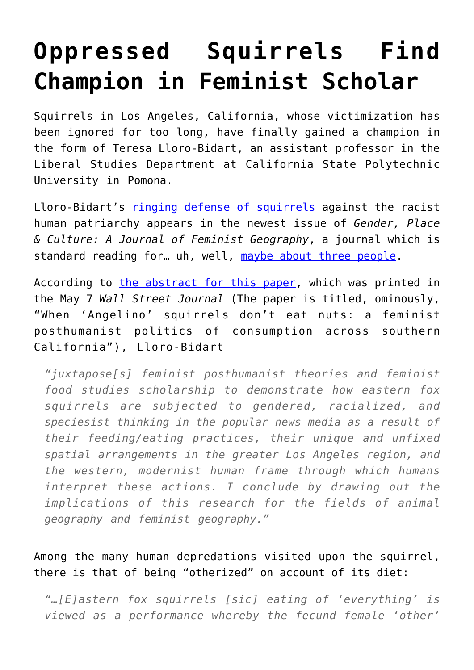## **[Oppressed Squirrels Find](https://intellectualtakeout.org/2017/05/oppressed-squirrels-find-champion-in-feminist-scholar/) [Champion in Feminist Scholar](https://intellectualtakeout.org/2017/05/oppressed-squirrels-find-champion-in-feminist-scholar/)**

Squirrels in Los Angeles, California, whose victimization has been ignored for too long, have finally gained a champion in the form of Teresa Lloro-Bidart, an assistant professor in the Liberal Studies Department at California State Polytechnic University in Pomona.

Lloro-Bidart's [ringing defense of squirrels](http://www.tandfonline.com/doi/full/10.1080/0966369X.2017.1314949) against the racist human patriarchy appears in the newest issue of *Gender, Place & Culture: A Journal of Feminist Geography*, a journal which is standard reading for... uh, well, [maybe about three people.](https://www.intellectualtakeout.org/blog/why-professors-are-writing-crap-nobody-reads)

According to [the abstract for this paper,](http://www.tandfonline.com/doi/full/10.1080/0966369X.2017.1314949) which was printed in the May 7 *Wall Street Journal* (The paper is titled, ominously, "When 'Angelino' squirrels don't eat nuts: a feminist posthumanist politics of consumption across southern California"), Lloro-Bidart

*"juxtapose[s] feminist posthumanist theories and feminist food studies scholarship to demonstrate how eastern fox squirrels are subjected to gendered, racialized, and speciesist thinking in the popular news media as a result of their feeding/eating practices, their unique and unfixed spatial arrangements in the greater Los Angeles region, and the western, modernist human frame through which humans interpret these actions. I conclude by drawing out the implications of this research for the fields of animal geography and feminist geography."*

Among the many human depredations visited upon the squirrel, there is that of being "otherized" on account of its diet:

*"…[E]astern fox squirrels [sic] eating of 'everything' is viewed as a performance whereby the fecund female 'other'*